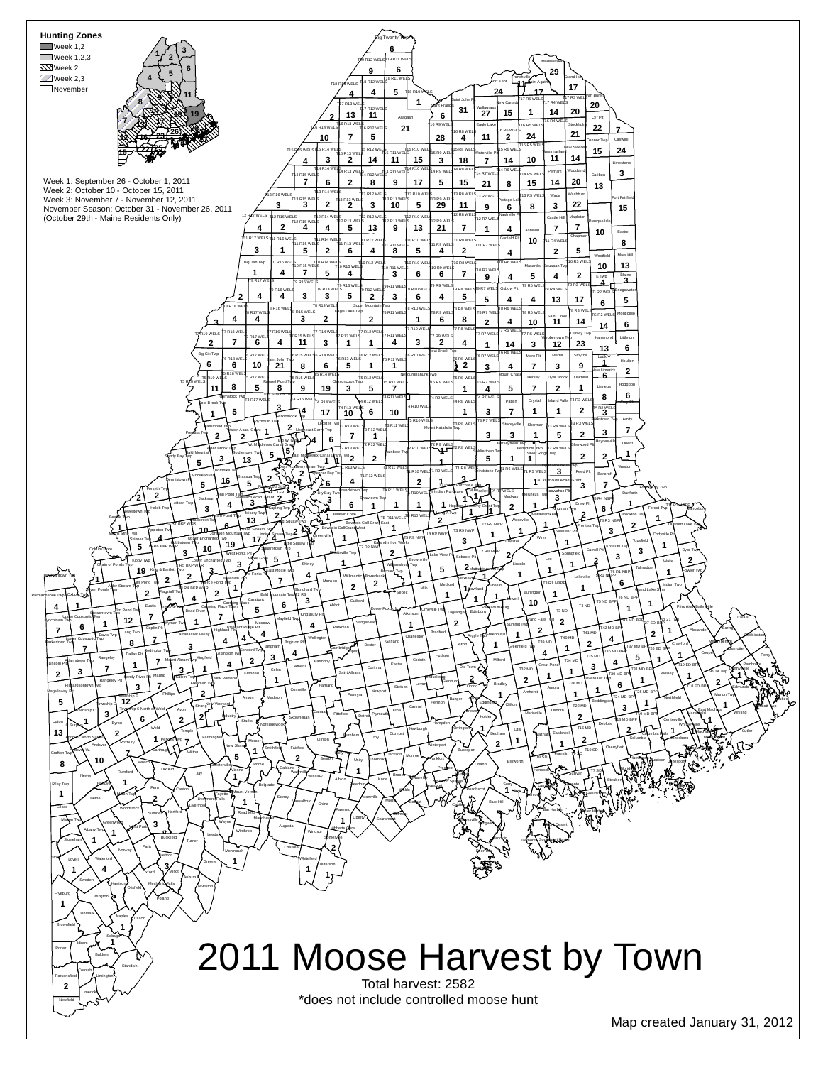